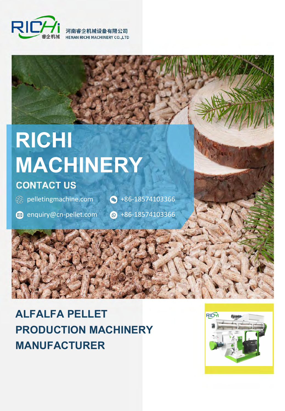

河南睿企机械设备有限公司 **HENAN RICHI MACHINERY CO., LTD** 

# **RICHI MACHINERY**

## **CONTACT US**

**EX pelletingmachine.com** 

 $\bigodot$  +86-18574103366

enquiry@cn-pellet.com

 $\odot$  +86-18574103366

## **ALFALFA PELLET PRODUCTION MACHINERY MANUFACTURER**

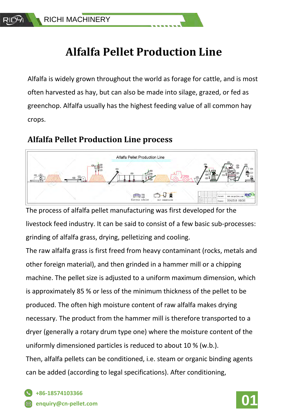## **Alfalfa Pellet Production Line**

Alfalfa is widely grown throughout the world as forage for cattle, and is most often harvested as hay, but can also be made into silage, grazed, or fed as greenchop. Alfalfa usually has the highest feeding value of all common hay crops.

### **Alfalfa Pellet Production Line process**



The process of alfalfa pellet manufacturing was first developed for the livestock feed industry. It can be said to consist of a few basic sub-processes: grinding of alfalfa grass, drying, pelletizing and cooling.

The raw alfalfa grass is first freed from heavy contaminant (rocks, metals and other foreign material), and then grinded in a hammer mill or a chipping machine. The pellet size is adjusted to a uniform maximum dimension, which is approximately 85 % or less of the minimum thickness of the pellet to be produced. The often high moisture content of raw alfalfa makes drying necessary. The product from the hammer mill is therefore transported to a dryer (generally a rotary drum type one) where the moisture content of the uniformly dimensioned particles is reduced to about 10 % (w.b.). Then, alfalfa pellets can be conditioned, i.e. steam or organic binding agents can be added (according to legal specifications). After conditioning,

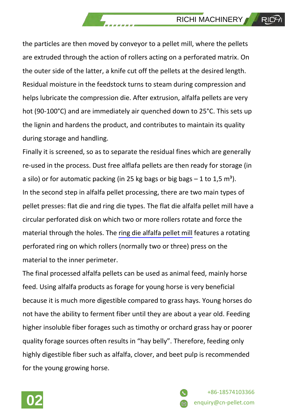the particles are then moved by conveyor to a pellet mill, where the pellets are extruded through the action of rollers acting on a perforated matrix. On the outer side of the latter, a knife cut off the pellets at the desired length. Residual moisture in the feedstock turns to steam during compression and helps lubricate the compression die. After extrusion, alfalfa pellets are very hot (90-100°C) and are immediately air quenched down to 25°C. This sets up the lignin and hardens the product, and contributes to maintain its quality during storage and handling.

Finally it is screened, so as to separate the residual fines which are generally re-used in the process. Dust free alflafa pellets are then ready for storage (in a silo) or for automatic packing (in 25 kg bags or big bags  $-1$  to 1,5 m<sup>3</sup>). In the second step in alfalfa pellet processing, there are two main types of pellet presses: flat die and ring die types. The flat die alfalfa pellet mill have a circular perforated disk on which two or more rollers rotate and force the material through the holes. The ring die [alfalfa pellet mill](https://www.pelletingmachine.com/alfalfa-pellet-machine/) features a rotating perforated ring on which rollers (normally two or three) press on the material to the inner perimeter.

The final processed alfalfa pellets can be used as animal feed, mainly horse feed. Using alfalfa products as forage for young horse is very beneficial because it is much more digestible compared to grass hays. Young horses do not have the ability to ferment fiber until they are about a year old. Feeding higher insoluble fiber forages such as timothy or orchard grass hay or poorer quality forage sources often results in "hay belly". Therefore, feeding only highly digestible fiber such as alfalfa, clover, and beet pulp is recommended for the young growing horse.



+86-18574103366 **02** <sup>e</sup>nquiry@cn-pellet.com